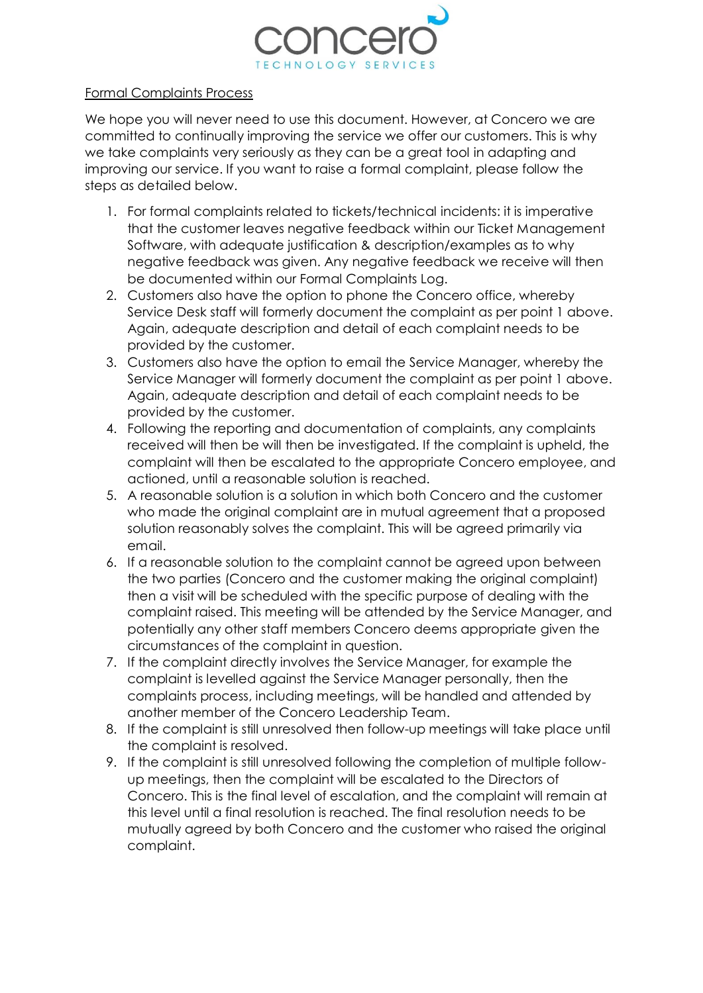

## Formal Complaints Process

We hope you will never need to use this document. However, at Concero we are committed to continually improving the service we offer our customers. This is why we take complaints very seriously as they can be a great tool in adapting and improving our service. If you want to raise a formal complaint, please follow the steps as detailed below.

- 1. For formal complaints related to tickets/technical incidents: it is imperative that the customer leaves negative feedback within our Ticket Management Software, with adequate justification & description/examples as to why negative feedback was given. Any negative feedback we receive will then be documented within our Formal Complaints Log.
- 2. Customers also have the option to phone the Concero office, whereby Service Desk staff will formerly document the complaint as per point 1 above. Again, adequate description and detail of each complaint needs to be provided by the customer.
- 3. Customers also have the option to email the Service Manager, whereby the Service Manager will formerly document the complaint as per point 1 above. Again, adequate description and detail of each complaint needs to be provided by the customer.
- 4. Following the reporting and documentation of complaints, any complaints received will then be will then be investigated. If the complaint is upheld, the complaint will then be escalated to the appropriate Concero employee, and actioned, until a reasonable solution is reached.
- 5. A reasonable solution is a solution in which both Concero and the customer who made the original complaint are in mutual agreement that a proposed solution reasonably solves the complaint. This will be agreed primarily via email.
- 6. If a reasonable solution to the complaint cannot be agreed upon between the two parties (Concero and the customer making the original complaint) then a visit will be scheduled with the specific purpose of dealing with the complaint raised. This meeting will be attended by the Service Manager, and potentially any other staff members Concero deems appropriate given the circumstances of the complaint in question.
- 7. If the complaint directly involves the Service Manager, for example the complaint is levelled against the Service Manager personally, then the complaints process, including meetings, will be handled and attended by another member of the Concero Leadership Team.
- 8. If the complaint is still unresolved then follow-up meetings will take place until the complaint is resolved.
- 9. If the complaint is still unresolved following the completion of multiple followup meetings, then the complaint will be escalated to the Directors of Concero. This is the final level of escalation, and the complaint will remain at this level until a final resolution is reached. The final resolution needs to be mutually agreed by both Concero and the customer who raised the original complaint.